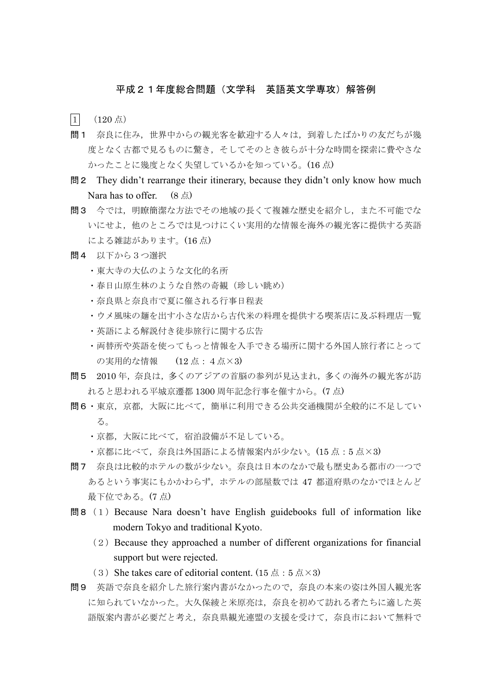## 平成21年度総合問題(文学科 英語英文学専攻)解答例

 $\boxed{1}$  (120点)

- 問1 奈良に住み,世界中からの観光客を歓迎する人々は,到着したばかりの友だちが幾 度となく古都で見るものに驚き,そしてそのとき彼らが十分な時間を探索に費やさな かったことに幾度となく失望しているかを知っている。(16 点)
- 問2 They didn't rearrange their itinerary, because they didn't only know how much Nara has to offer.  $(8 \text{ A})$
- 問3 今では,明瞭簡潔な方法でその地域の長くて複雑な歴史を紹介し,また不可能でな いにせよ,他のところでは見つけにくい実用的な情報を海外の観光客に提供する英語 による雑誌があります。(16 点)
- 問4 以下から3つ選択
	- ・東大寺の大仏のような文化的名所
	- ・春日山原生林のような自然の奇観(珍しい眺め)
	- ・奈良県と奈良市で夏に催される行事日程表
	- ・ウメ風味の麺を出す小さな店から古代米の料理を提供する喫茶店に及ぶ料理店一覧
	- ・英語による解説付き徒歩旅行に関する広告
	- ・両替所や英語を使ってもっと情報を入手できる場所に関する外国人旅行者にとって の実用的な情報 (12点: 4点×3)
- 問5 2010 年,奈良は,多くのアジアの首脳の参列が見込まれ,多くの海外の観光客が訪 れると思われる平城京遷都 1300 周年記念行事を催すから。(7 点)
- 問6・東京,京都,大阪に比べて,簡単に利用できる公共交通機関が全般的に不足してい る。
	- ・京都,大阪に比べて,宿泊設備が不足している。
	- ・京都に比べて,奈良は外国語による情報案内が少ない。(15 点:5 点×3)
- 問7 奈良は比較的ホテルの数が少ない。奈良は日本のなかで最も歴史ある都市の一つで あるという事実にもかかわらず、ホテルの部屋数では47 都道府県のなかでほとんど 最下位である。(7 点)
- 間8 (1) Because Nara doesn't have English guidebooks full of information like modern Tokyo and traditional Kyoto.
	- (2)Because they approached a number of different organizations for financial support but were rejected.
	- (3) She takes care of editorial content. (15 点: 5 点 $\times$ 3)
- 問9 英語で奈良を紹介した旅行案内書がなかったので,奈良の本来の姿は外国人観光客 に知られていなかった。大久保綾と米原亮は,奈良を初めて訪れる者たちに適した英 語版案内書が必要だと考え,奈良県観光連盟の支援を受けて,奈良市において無料で